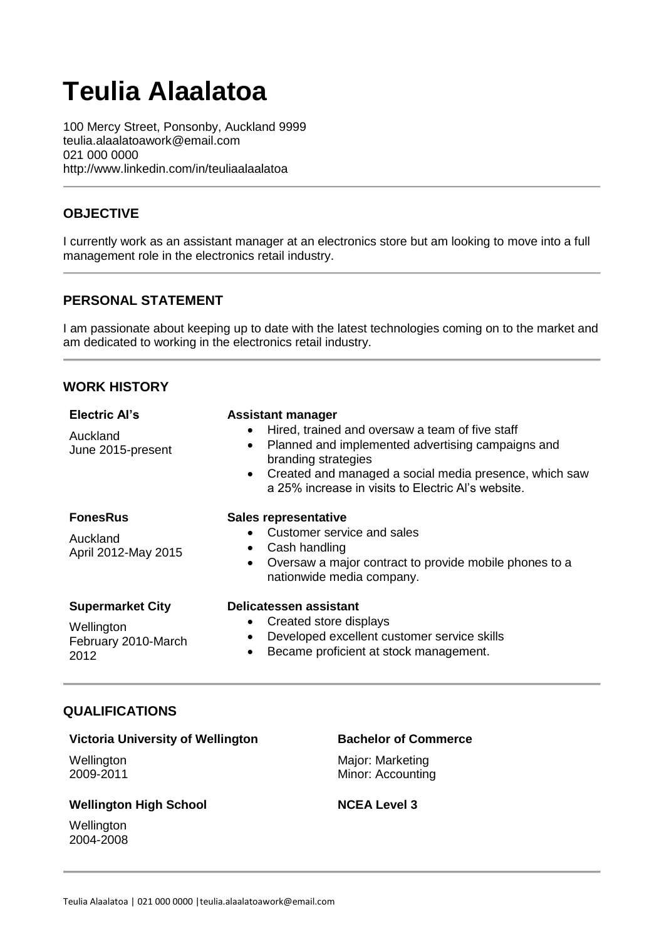# **Teulia Alaalatoa**

100 Mercy Street, Ponsonby, Auckland 9999 teulia.alaalatoawork@email.com 021 000 0000 http://www.linkedin.com/in/teuliaalaalatoa

# **OBJECTIVE**

I currently work as an assistant manager at an electronics store but am looking to move into a full management role in the electronics retail industry.

## **PERSONAL STATEMENT**

I am passionate about keeping up to date with the latest technologies coming on to the market and am dedicated to working in the electronics retail industry.

## **WORK HISTORY**

| <b>Electric Al's</b><br>Auckland<br>June 2015-present                | <b>Assistant manager</b><br>Hired, trained and oversaw a team of five staff<br>$\bullet$<br>Planned and implemented advertising campaigns and<br>$\bullet$<br>branding strategies<br>Created and managed a social media presence, which saw<br>$\bullet$ |
|----------------------------------------------------------------------|----------------------------------------------------------------------------------------------------------------------------------------------------------------------------------------------------------------------------------------------------------|
| <b>FonesRus</b><br>Auckland<br>April 2012-May 2015                   | a 25% increase in visits to Electric Al's website.<br><b>Sales representative</b><br>Customer service and sales<br>Cash handling<br>$\bullet$<br>Oversaw a major contract to provide mobile phones to a<br>$\bullet$<br>nationwide media company.        |
| <b>Supermarket City</b><br>Wellington<br>February 2010-March<br>2012 | Delicatessen assistant<br>Created store displays<br>$\bullet$<br>Developed excellent customer service skills<br>$\bullet$<br>Became proficient at stock management.<br>$\bullet$                                                                         |

## **QUALIFICATIONS**

## **Victoria University of Wellington**

**Wellington** 2009-2011

#### **Bachelor of Commerce**

Major: Marketing Minor: Accounting

#### **Wellington High School**

**Wellington** 2004-2008

#### **NCEA Level 3**